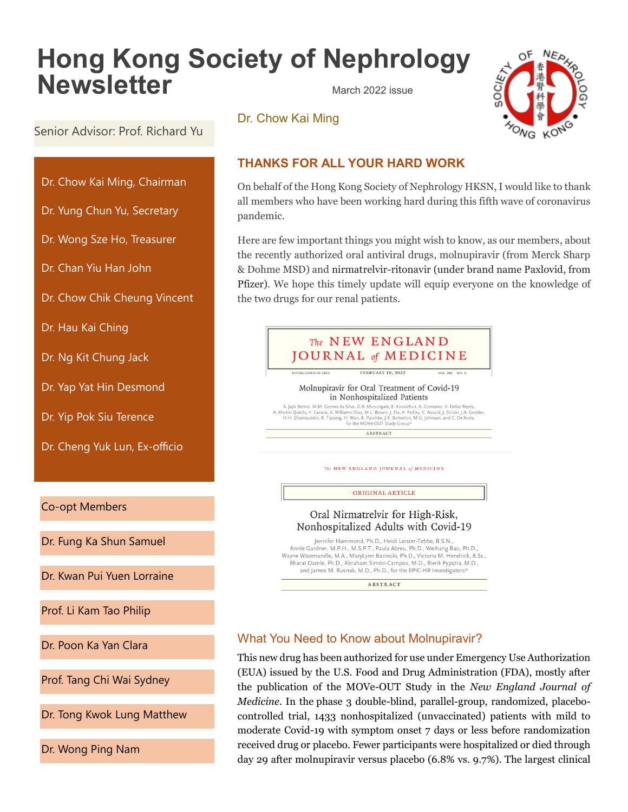# **Hong Kong Society of Nephrology Newsletter** March 2022 issue





Senior Advisor: Prof. Richard Yu

- Dr. Chow Kai Ming, Chairman
- Dr. Yung Chun Yu, Secretary
- Dr. Wong Sze Ho, Treasurer
- Dr. Chan Yiu Han John
- Dr. Chow Chik Cheung Vincent
- Dr. Hau Kai Ching
- Dr. Ng Kit Chung Jack
- Dr. Yap Yat Hin Desmond
- Dr. Yip Pok Siu Terence
- Dr. Cheng Yuk Lun, Ex-officio

Co-opt Members

Dr. Fung Ka Shun Samuel

Dr. Kwan Pui Yuen Lorraine

Prof. Li Kam Tao Philip

Dr. Poon Ka Yan Clara

Prof. Tang Chi Wai Sydney

Dr. Tong Kwok Lung Matthew

Dr. Wong Ping Nam

# **THANKS FOR ALL YOUR HARD WORK**

On behalf of the Hong Kong Society of Nephrology HKSN, I would like to thank all members who have been working hard during this fifth wave of coronavirus pandemic.

Here are few important things you might wish to know, as our members, about the recently authorized oral antiviral drugs, molnupiravir (from Merck Sharp & Dohme MSD) and nirmatrelvir-ritonavir (under brand name Paxlovid, from Pfizer). We hope this timely update will equip everyone on the knowledge of the two drugs for our renal patients.



## What You Need to Know about Molnupiravir?

This new drug has been authorized for use under Emergency Use Authorization (EUA) issued by the U.S. Food and Drug Administration (FDA), mostly after the publication of the MOVe-OUT Study in the *New England Journal of Medicine*. In the phase 3 double-blind, parallel-group, randomized, placebocontrolled trial, 1433 nonhospitalized (unvaccinated) patients with mild to moderate Covid-19 with symptom onset 7 days or less before randomization received drug or placebo. Fewer participants were hospitalized or died through day 29 after molnupiravir versus placebo (6.8% vs. 9.7%). The largest clinical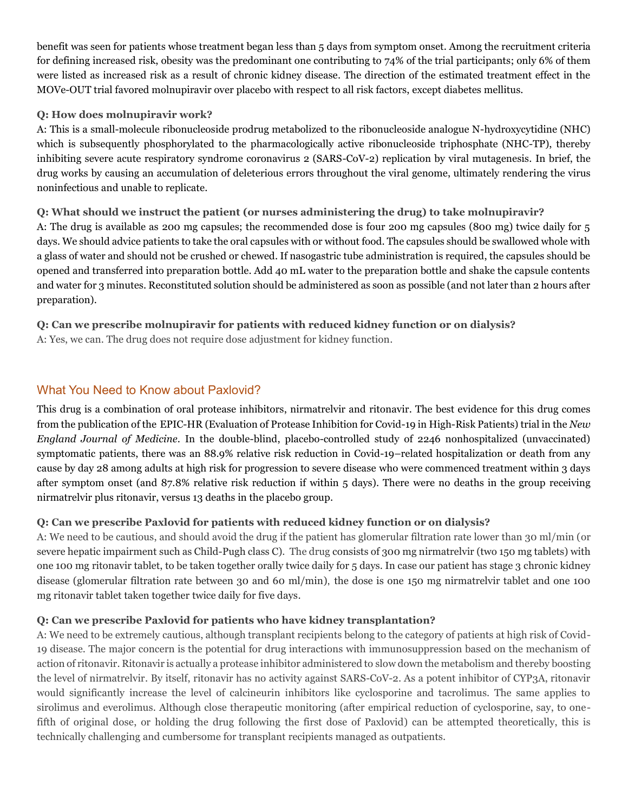benefit was seen for patients whose treatment began less than 5 days from symptom onset. Among the recruitment criteria for defining increased risk, obesity was the predominant one contributing to 74% of the trial participants; only 6% of them were listed as increased risk as a result of chronic kidney disease. The direction of the estimated treatment effect in the MOVe-OUT trial favored molnupiravir over placebo with respect to all risk factors, except diabetes mellitus.

#### **Q: How does molnupiravir work?**

A: This is a small-molecule ribonucleoside prodrug metabolized to the ribonucleoside analogue N-hydroxycytidine (NHC) which is subsequently phosphorylated to the pharmacologically active ribonucleoside triphosphate (NHC-TP), thereby inhibiting severe acute respiratory syndrome coronavirus 2 (SARS-CoV-2) replication by viral mutagenesis. In brief, the drug works by causing an accumulation of deleterious errors throughout the viral genome, ultimately rendering the virus noninfectious and unable to replicate.

### **Q: What should we instruct the patient (or nurses administering the drug) to take molnupiravir?**

A: The drug is available as 200 mg capsules; the recommended dose is four 200 mg capsules (800 mg) twice daily for 5 days. We should advice patients to take the oral capsules with or without food. The capsules should be swallowed whole with a glass of water and should not be crushed or chewed. If nasogastric tube administration is required, the capsules should be opened and transferred into preparation bottle. Add 40 mL water to the preparation bottle and shake the capsule contents and water for 3 minutes. Reconstituted solution should be administered as soon as possible (and not later than 2 hours after preparation).

#### **Q: Can we prescribe molnupiravir for patients with reduced kidney function or on dialysis?** A: Yes, we can. The drug does not require dose adjustment for kidney function.

### What You Need to Know about Paxlovid?

This drug is a combination of oral protease inhibitors, nirmatrelvir and ritonavir. The best evidence for this drug comes from the publication of the EPIC-HR (Evaluation of Protease Inhibition for Covid-19 in High-Risk Patients) trial in the *New England Journal of Medicine*. In the double-blind, placebo-controlled study of 2246 nonhospitalized (unvaccinated) symptomatic patients, there was an 88.9% relative risk reduction in Covid-19–related hospitalization or death from any cause by day 28 among adults at high risk for progression to severe disease who were commenced treatment within 3 days after symptom onset (and 87.8% relative risk reduction if within 5 days). There were no deaths in the group receiving nirmatrelvir plus ritonavir, versus 13 deaths in the placebo group.

### **Q: Can we prescribe Paxlovid for patients with reduced kidney function or on dialysis?**

A: We need to be cautious, and should avoid the drug if the patient has glomerular filtration rate lower than 30 ml/min (or severe hepatic impairment such as Child-Pugh class C). The drug consists of 300 mg nirmatrelvir (two 150 mg tablets) with one 100 mg ritonavir tablet, to be taken together orally twice daily for 5 days. In case our patient has stage 3 chronic kidney disease (glomerular filtration rate between 30 and 60 ml/min), the dose is one 150 mg nirmatrelvir tablet and one 100 mg ritonavir tablet taken together twice daily for five days.

### **Q: Can we prescribe Paxlovid for patients who have kidney transplantation?**

A: We need to be extremely cautious, although transplant recipients belong to the category of patients at high risk of Covid-19 disease. The major concern is the potential for drug interactions with immunosuppression based on the mechanism of action of ritonavir. Ritonavir is actually a protease inhibitor administered to slow down the metabolism and thereby boosting the level of nirmatrelvir. By itself, ritonavir has no activity against SARS-CoV-2. As a potent inhibitor of CYP3A, ritonavir would significantly increase the level of calcineurin inhibitors like cyclosporine and tacrolimus. The same applies to sirolimus and everolimus. Although close therapeutic monitoring (after empirical reduction of cyclosporine, say, to onefifth of original dose, or holding the drug following the first dose of Paxlovid) can be attempted theoretically, this is technically challenging and cumbersome for transplant recipients managed as outpatients.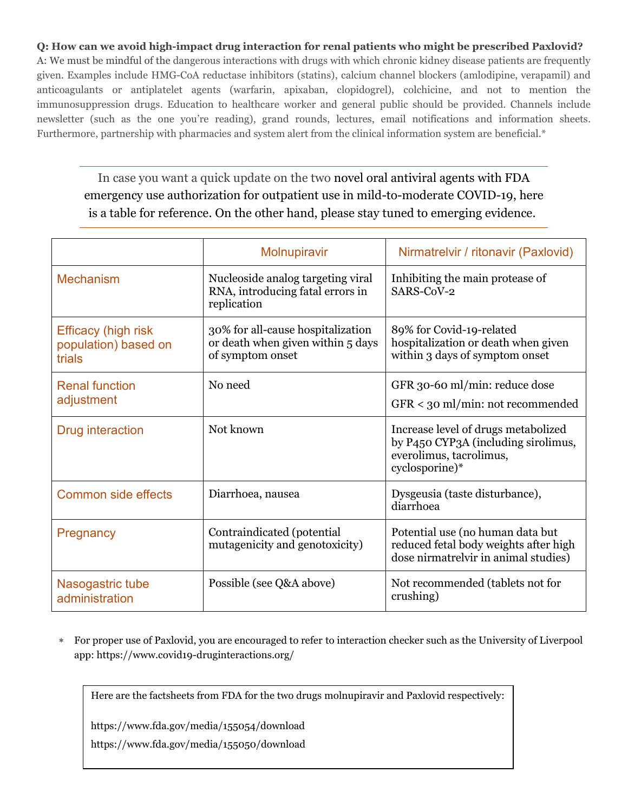#### **Q: How can we avoid high-impact drug interaction for renal patients who might be prescribed Paxlovid?**

A: We must be mindful of the dangerous interactions with drugs with which chronic kidney disease patients are frequently given. Examples include HMG-CoA reductase inhibitors (statins), calcium channel blockers (amlodipine, verapamil) and anticoagulants or antiplatelet agents (warfarin, apixaban, clopidogrel), colchicine, and not to mention the immunosuppression drugs. Education to healthcare worker and general public should be provided. Channels include newsletter (such as the one you're reading), grand rounds, lectures, email notifications and information sheets. Furthermore, partnership with pharmacies and system alert from the clinical information system are beneficial.\*

In case you want a quick update on the two novel oral antiviral agents with FDA emergency use authorization for outpatient use in mild-to-moderate COVID-19, here is a table for reference. On the other hand, please stay tuned to emerging evidence.

|                                                              | Molnupiravir                                                                               | Nirmatrelvir / ritonavir (Paxlovid)                                                                                     |  |
|--------------------------------------------------------------|--------------------------------------------------------------------------------------------|-------------------------------------------------------------------------------------------------------------------------|--|
| <b>Mechanism</b>                                             | Nucleoside analog targeting viral<br>RNA, introducing fatal errors in<br>replication       | Inhibiting the main protease of<br>SARS-CoV-2                                                                           |  |
| <b>Efficacy (high risk</b><br>population) based on<br>trials | 30% for all-cause hospitalization<br>or death when given within 5 days<br>of symptom onset | 89% for Covid-19-related<br>hospitalization or death when given<br>within 3 days of symptom onset                       |  |
| <b>Renal function</b><br>adjustment                          | No need                                                                                    | GFR 30-60 ml/min: reduce dose<br>$GFR <$ 30 ml/min: not recommended                                                     |  |
| <b>Drug interaction</b>                                      | Not known                                                                                  | Increase level of drugs metabolized<br>by P450 CYP3A (including sirolimus,<br>everolimus, tacrolimus,<br>cyclosporine)* |  |
| Common side effects                                          | Diarrhoea, nausea                                                                          | Dysgeusia (taste disturbance),<br>diarrhoea                                                                             |  |
| Pregnancy                                                    | Contraindicated (potential<br>mutagenicity and genotoxicity)                               | Potential use (no human data but)<br>reduced fetal body weights after high<br>dose nirmatrelvir in animal studies)      |  |
| Nasogastric tube<br>administration                           | Possible (see Q&A above)                                                                   | Not recommended (tablets not for<br>crushing)                                                                           |  |

 For proper use of Paxlovid, you are encouraged to refer to interaction checker such as the University of Liverpool app: https://www.covid19-druginteractions.org/

Here are the factsheets from FDA for the two drugs molnupiravir and Paxlovid respectively:

https://www.fda.gov/media/155054/download

https://www.fda.gov/media/155050/download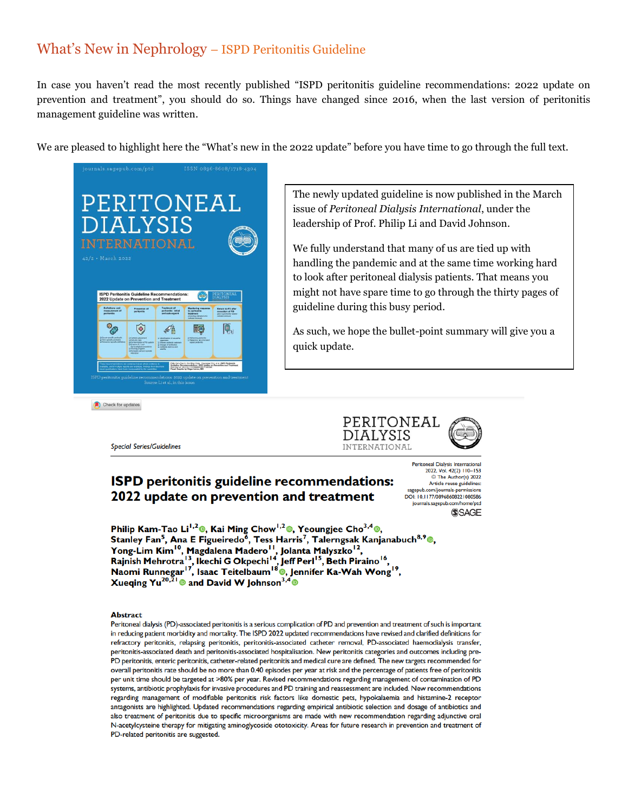# What's New in Nephrology – ISPD Peritonitis Guideline

In case you haven't read the most recently published "ISPD peritonitis guideline recommendations: 2022 update on prevention and treatment", you should do so. Things have changed since 2016, when the last version of peritonitis management guideline was written.

We are pleased to highlight here the "What's new in the 2022 update" before you have time to go through the full text.



The newly updated guideline is now published in the March issue of *Peritoneal Dialysis International*, under the leadership of Prof. Philip Li and David Johnson.

We fully understand that many of us are tied up with handling the pandemic and at the same time working hard to look after peritoneal dialysis patients. That means you might not have spare time to go through the thirty pages of guideline during this busy period.

As such, we hope the bullet-point summary will give you a quick update.

Check for updates

**Special Series/Guidelines** 



# **ISPD** peritonitis guideline recommendations: 2022 update on prevention and treatment

Peritoneal Dialysis International 2022, Vol. 42(2) 110-153 The Author(s) 2022 Article reuse guidelines: sagepub.com/journals-permissions<br>DOI: 10.1177/08968608221080586 journals.sagepub.com/home/ptd **SSAGE** 

Philip Kam-Tao Li<sup>1,2</sup><sup>®</sup>, Kai Ming Chow<sup>1,2</sup><sup>®</sup>, Yeoungjee Cho<sup>3,4</sup><sup>®</sup>, Stanley Fan<sup>5</sup>, Ana E Figueiredo<sup>6</sup>, Tess Harris<sup>7</sup>, Talerngsak Kanjanabuch<sup>8,9</sup><sup>®</sup>, Franchine Higherald Madero<sup>11</sup>, Jolanta Malyszko<sup>12</sup>,<br>Rajnish Mehrotra<sup>13</sup>, Ikechi G Okpechi<sup>14</sup>, Jeff Perl<sup>15</sup>, Beth Piraino<sup>16</sup>,<br>Naomi Runnegar<sup>17</sup>, Isaac Teitelbaum<sup>18</sup>®, Jennifer Ka-Wah Wong<sup>19</sup>,<br>Xueqing Yu<sup>20,21</sup>® an

#### **Abstract**

Peritoneal dialysis (PD)-associated peritonitis is a serious complication of PD and prevention and treatment of such is important in reducing patient morbidity and mortality. The ISPD 2022 updated recommendations have revised and clarified definitions for refractory peritonitis, relapsing peritonitis, peritonitis-associated catheter removal, PD-associated haemodialysis transfer, peritonitis-associated death and peritonitis-associated hospitalisation. New peritonitis categories and outcomes including pre-PD peritonitis, enteric peritonitis, catheter-related peritonitis and medical cure are defined. The new targets recommended for overall peritonitis rate should be no more than 0.40 episodes per year at risk and the percentage of patients free of peritonitis per unit time should be targeted at >80% per year. Revised recommendations regarding management of contamination of PD systems, antibiotic prophylaxis for invasive procedures and PD training and reassessment are included. New recommendations regarding management of modifiable peritonitis risk factors like domestic pets, hypokalaemia and histamine-2 receptor antagonists are highlighted. Updated recommendations regarding empirical antibiotic selection and dosage of antibiotics and also treatment of peritonitis due to specific microorganisms are made with new recommendation regarding adjunctive oral N-acetylcysteine therapy for mitigating aminoglycoside ototoxicity. Areas for future research in prevention and treatment of PD-related peritonitis are suggested.